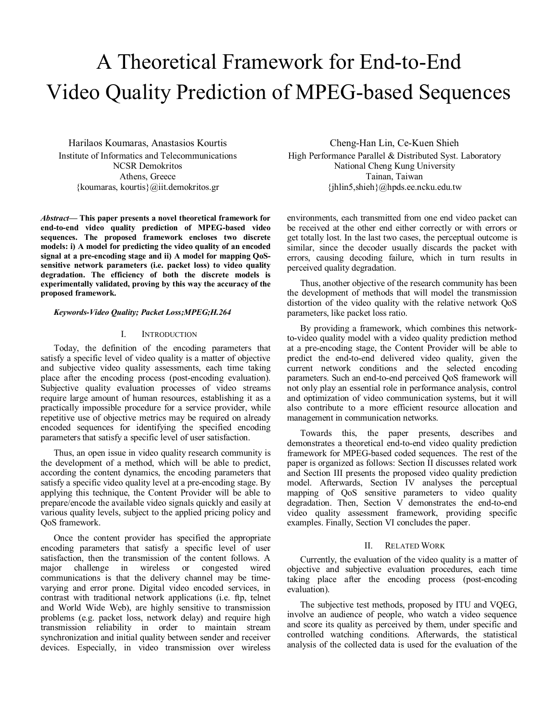# A Theoretical Framework for End-to-End Video Quality Prediction of MPEG-based Sequences

Harilaos Koumaras, Anastasios Kourtis Institute of Informatics and Telecommunications NCSR Demokritos Athens, Greece {koumaras, kourtis}@iit.demokritos.gr

*Abstract***— This paper presents a novel theoretical framework for end-to-end video quality prediction of MPEG-based video sequences. The proposed framework encloses two discrete models: i) A model for predicting the video quality of an encoded signal at a pre-encoding stage and ii) A model for mapping QoSsensitive network parameters (i.e. packet loss) to video quality degradation. The efficiency of both the discrete models is experimentally validated, proving by this way the accuracy of the proposed framework.** 

# *Keywords-Video Quality; Packet Loss;MPEG;H.264*

# I. INTRODUCTION

Today, the definition of the encoding parameters that satisfy a specific level of video quality is a matter of objective and subjective video quality assessments, each time taking place after the encoding process (post-encoding evaluation). Subjective quality evaluation processes of video streams require large amount of human resources, establishing it as a practically impossible procedure for a service provider, while repetitive use of objective metrics may be required on already encoded sequences for identifying the specified encoding parameters that satisfy a specific level of user satisfaction.

Thus, an open issue in video quality research community is the development of a method, which will be able to predict, according the content dynamics, the encoding parameters that satisfy a specific video quality level at a pre-encoding stage. By applying this technique, the Content Provider will be able to prepare/encode the available video signals quickly and easily at various quality levels, subject to the applied pricing policy and QoS framework.

Once the content provider has specified the appropriate encoding parameters that satisfy a specific level of user satisfaction, then the transmission of the content follows. A major challenge in wireless or congested wired communications is that the delivery channel may be timevarying and error prone. Digital video encoded services, in contrast with traditional network applications (i.e. ftp, telnet and World Wide Web), are highly sensitive to transmission problems (e.g. packet loss, network delay) and require high transmission reliability in order to maintain stream synchronization and initial quality between sender and receiver devices. Especially, in video transmission over wireless

Cheng-Han Lin, Ce-Kuen Shieh High Performance Parallel & Distributed Syst. Laboratory National Cheng Kung University Tainan, Taiwan {jhlin5,shieh}@hpds.ee.ncku.edu.tw

environments, each transmitted from one end video packet can be received at the other end either correctly or with errors or get totally lost. In the last two cases, the perceptual outcome is similar, since the decoder usually discards the packet with errors, causing decoding failure, which in turn results in perceived quality degradation.

Thus, another objective of the research community has been the development of methods that will model the transmission distortion of the video quality with the relative network QoS parameters, like packet loss ratio.

By providing a framework, which combines this networkto-video quality model with a video quality prediction method at a pre-encoding stage, the Content Provider will be able to predict the end-to-end delivered video quality, given the current network conditions and the selected encoding parameters. Such an end-to-end perceived QoS framework will not only play an essential role in performance analysis, control and optimization of video communication systems, but it will also contribute to a more efficient resource allocation and management in communication networks.

Towards this, the paper presents, describes and demonstrates a theoretical end-to-end video quality prediction framework for MPEG-based coded sequences. The rest of the paper is organized as follows: Section II discusses related work and Section III presents the proposed video quality prediction model. Afterwards, Section IV analyses the perceptual mapping of QoS sensitive parameters to video quality degradation. Then, Section V demonstrates the end-to-end video quality assessment framework, providing specific examples. Finally, Section VI concludes the paper.

# II. RELATED WORK

Currently, the evaluation of the video quality is a matter of objective and subjective evaluation procedures, each time taking place after the encoding process (post-encoding evaluation).

The subjective test methods, proposed by ITU and VQEG, involve an audience of people, who watch a video sequence and score its quality as perceived by them, under specific and controlled watching conditions. Afterwards, the statistical analysis of the collected data is used for the evaluation of the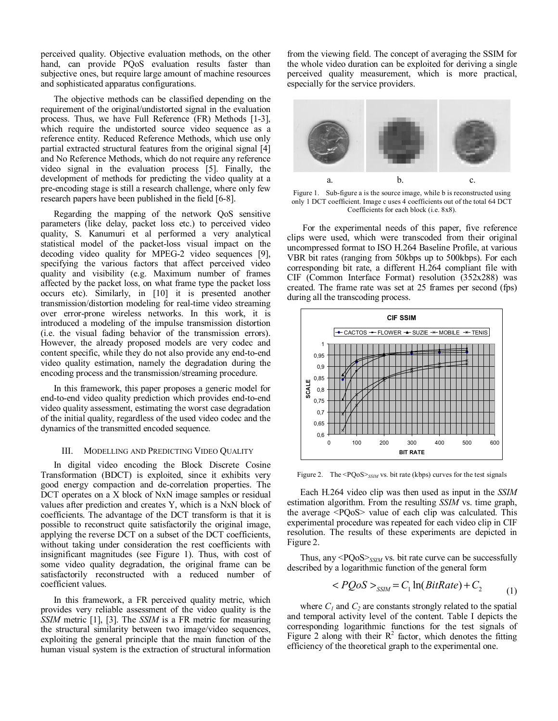perceived quality. Objective evaluation methods, on the other hand, can provide PQoS evaluation results faster than subjective ones, but require large amount of machine resources and sophisticated apparatus configurations.

The objective methods can be classified depending on the requirement of the original/undistorted signal in the evaluation process. Thus, we have Full Reference (FR) Methods [1-3], which require the undistorted source video sequence as a reference entity. Reduced Reference Methods, which use only partial extracted structural features from the original signal [4] and No Reference Methods, which do not require any reference video signal in the evaluation process [5]. Finally, the development of methods for predicting the video quality at a pre-encoding stage is still a research challenge, where only few research papers have been published in the field [6-8].

Regarding the mapping of the network QoS sensitive parameters (like delay, packet loss etc.) to perceived video quality, S. Kanumuri et al performed a very analytical statistical model of the packet-loss visual impact on the decoding video quality for MPEG-2 video sequences [9], specifying the various factors that affect perceived video quality and visibility (e.g. Maximum number of frames affected by the packet loss, on what frame type the packet loss occurs etc). Similarly, in [10] it is presented another transmission/distortion modeling for real-time video streaming over error-prone wireless networks. In this work, it is introduced a modeling of the impulse transmission distortion (i.e. the visual fading behavior of the transmission errors). However, the already proposed models are very codec and content specific, while they do not also provide any end-to-end video quality estimation, namely the degradation during the encoding process and the transmission/streaming procedure.

In this framework, this paper proposes a generic model for end-to-end video quality prediction which provides end-to-end video quality assessment, estimating the worst case degradation of the initial quality, regardless of the used video codec and the dynamics of the transmitted encoded sequence.

# III. MODELLING AND PREDICTING VIDEO QUALITY

In digital video encoding the Block Discrete Cosine Transformation (BDCT) is exploited, since it exhibits very good energy compaction and de-correlation properties. The DCT operates on a X block of NxN image samples or residual values after prediction and creates Y, which is a NxN block of coefficients. The advantage of the DCT transform is that it is possible to reconstruct quite satisfactorily the original image, applying the reverse DCT on a subset of the DCT coefficients, without taking under consideration the rest coefficients with insignificant magnitudes (see Figure 1). Thus, with cost of some video quality degradation, the original frame can be satisfactorily reconstructed with a reduced number of coefficient values.

In this framework, a FR perceived quality metric, which provides very reliable assessment of the video quality is the *SSIM* metric [1], [3]. The *SSIM* is a FR metric for measuring the structural similarity between two image/video sequences, exploiting the general principle that the main function of the human visual system is the extraction of structural information

from the viewing field. The concept of averaging the SSIM for the whole video duration can be exploited for deriving a single perceived quality measurement, which is more practical, especially for the service providers.



Figure 1. Sub-figure a is the source image, while b is reconstructed using only 1 DCT coefficient. Image c uses 4 coefficients out of the total 64 DCT Coefficients for each block (i.e. 8x8).

 For the experimental needs of this paper, five reference clips were used, which were transcoded from their original uncompressed format to ISO H.264 Baseline Profile, at various VBR bit rates (ranging from 50kbps up to 500kbps). For each corresponding bit rate, a different H.264 compliant file with CIF (Common Interface Format) resolution (352x288) was created. The frame rate was set at 25 frames per second (fps) during all the transcoding process.



Figure 2. The <PQoS><sub>SSIM</sub> vs. bit rate (kbps) curves for the test signals

Each H.264 video clip was then used as input in the *SSIM* estimation algorithm. From the resulting *SSIM* vs. time graph, the average <PQoS> value of each clip was calculated. This experimental procedure was repeated for each video clip in CIF resolution. The results of these experiments are depicted in Figure 2.

Thus, any <PQoS><sub>SSIM</sub> vs. bit rate curve can be successfully described by a logarithmic function of the general form

$$
\langle PQoS \rangle_{SSIM} = C_1 \ln(BitRate) + C_2 \tag{1}
$$

where  $C_1$  and  $C_2$  are constants strongly related to the spatial and temporal activity level of the content. Table I depicts the corresponding logarithmic functions for the test signals of Figure 2 along with their  $R^2$  factor, which denotes the fitting efficiency of the theoretical graph to the experimental one.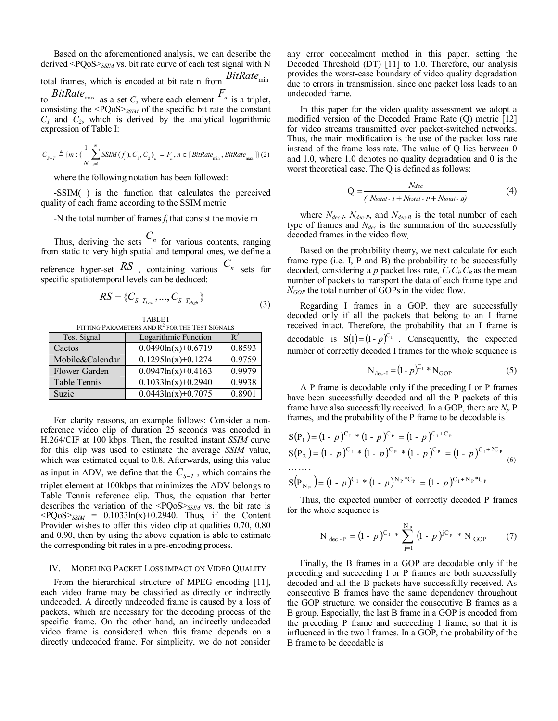Based on the aforementioned analysis, we can describe the derived <PQoS><sub>SSIM</sub> vs. bit rate curve of each test signal with N total frames, which is encoded at bit rate n from *BitRate*min to *BitRate*<sub>max</sub> as a set *C*, where each element  $F_n$  is a triplet, consisting the <PQoS>*SSIM* of the specific bit rate the constant  $C_1$  and  $C_2$ , which is derived by the analytical logarithmic expression of Table I:

$$
C_{S-T} \triangleq \{m : (\frac{1}{N} \sum_{i=1}^{N} SSIM(f_i), C_1, C_2)\} = F_n, n \in [BitRate_{min}, BitRate_{max}]\} (2)
$$

where the following notation has been followed:

-SSIM( ) is the function that calculates the perceived quality of each frame according to the SSIM metric

-N the total number of frames *fi* that consist the movie m

Thus, deriving the sets  $C_n$  for various contents, ranging from static to very high spatial and temporal ones, we define a reference hyper-set  $RS$ , containing various  $C_n$  sets for specific spatiotemporal levels can be deduced:

$$
RS = \{C_{S-T_{Low}}, ..., C_{S-T_{High}}\}\tag{3}
$$

TABLE I

| FITTING PARAMETERS AND R <sup>2</sup> FOR THE TEST SIGNALS |                       |        |
|------------------------------------------------------------|-----------------------|--------|
| <b>Test Signal</b>                                         | Logarithmic Function  |        |
| Cactos                                                     | $0.0490\ln(x)+0.6719$ | 0.8593 |
| Mobile&Calendar                                            | $0.1295\ln(x)+0.1274$ | 0.9759 |
| Flower Garden                                              | $0.0947\ln(x)+0.4163$ | 0.9979 |
| Table Tennis                                               | $0.1033\ln(x)+0.2940$ | 0.9938 |
| Suzie                                                      | $0.0443\ln(x)+0.7075$ | 0.8901 |

For clarity reasons, an example follows: Consider a nonreference video clip of duration 25 seconds was encoded in H.264/CIF at 100 kbps. Then, the resulted instant *SSIM* curve for this clip was used to estimate the average *SSIM* value, which was estimated equal to 0.8. Afterwards, using this value as input in ADV, we define that the  $C_{S-T}$ , which contains the triplet element at 100kbps that minimizes the ADV belongs to Table Tennis reference clip. Thus, the equation that better describes the variation of the <PQoS>*SSIM* vs. the bit rate is  $\langle PQoS \rangle_{SSIM}$  = 0.1033ln(x)+0.2940. Thus, if the Content Provider wishes to offer this video clip at qualities 0.70, 0.80 and 0.90, then by using the above equation is able to estimate the corresponding bit rates in a pre-encoding process.

### IV. MODELING PACKET LOSS IMPACT ON VIDEO QUALITY

From the hierarchical structure of MPEG encoding [11], each video frame may be classified as directly or indirectly undecoded. A directly undecoded frame is caused by a loss of packets, which are necessary for the decoding process of the specific frame. On the other hand, an indirectly undecoded video frame is considered when this frame depends on a directly undecoded frame. For simplicity, we do not consider any error concealment method in this paper, setting the Decoded Threshold (DT) [11] to 1.0. Therefore, our analysis provides the worst-case boundary of video quality degradation due to errors in transmission, since one packet loss leads to an undecoded frame.

In this paper for the video quality assessment we adopt a modified version of the Decoded Frame Rate (Q) metric [12] for video streams transmitted over packet-switched networks. Thus, the main modification is the use of the packet loss rate instead of the frame loss rate. The value of Q lies between 0 and 1.0, where 1.0 denotes no quality degradation and 0 is the worst theoretical case. The Q is defined as follows:

$$
Q = \frac{Ndec}{(Ntotal - I + Ntotal - P + Ntotal - B)}
$$
(4)

where  $N_{dec-l}$ ,  $N_{dec-l}$ , and  $N_{dec-l}$  is the total number of each type of frames and  $N_{dec}$  is the summation of the successfully decoded frames in the video flow.

Based on the probability theory, we next calculate for each frame type (i.e. I, P and B) the probability to be successfully decoded, considering a  $p$  packet loss rate,  $C_I C_P C_B$  as the mean number of packets to transport the data of each frame type and *N<sub>GOP</sub>* the total number of GOPs in the video flow.

Regarding I frames in a GOP, they are successfully decoded only if all the packets that belong to an I frame received intact. Therefore, the probability that an I frame is decodable is  $S(I) = (1 - p)^{C_1}$ . Consequently, the expected number of correctly decoded I frames for the whole sequence is

$$
N_{\text{dec-I}} = (1 - p)^{C_1} * N_{\text{GOP}} \tag{5}
$$

A P frame is decodable only if the preceding I or P frames have been successfully decoded and all the P packets of this frame have also successfully received. In a GOP, there are  $N_p$  P frames, and the probability of the P frame to be decodable is

$$
S(P_1) = (1 - p)^{C_1} * (1 - p)^{C_p} = (1 - p)^{C_1 + C_p}
$$
  
\n
$$
S(P_2) = (1 - p)^{C_1} * (1 - p)^{C_p} * (1 - p)^{C_p} = (1 - p)^{C_1 + 2C_p}
$$
  
\n........  
\n
$$
S(P_{N_p}) = (1 - p)^{C_1} * (1 - p)^{N_p * C_p} = (1 - p)^{C_1 + N_p * C_p}
$$
 (6)

Thus, the expected number of correctly decoded P frames for the whole sequence is

$$
N_{\text{dec-P}} = (1 - p)^{C_1} * \sum_{j=1}^{N_P} (1 - p)^{jC_p} * N_{\text{GOP}} \qquad (7)
$$

Finally, the B frames in a GOP are decodable only if the preceding and succeeding I or P frames are both successfully decoded and all the B packets have successfully received. As consecutive B frames have the same dependency throughout the GOP structure, we consider the consecutive B frames as a B group. Especially, the last B frame in a GOP is encoded from the preceding P frame and succeeding I frame, so that it is influenced in the two I frames. In a GOP, the probability of the B frame to be decodable is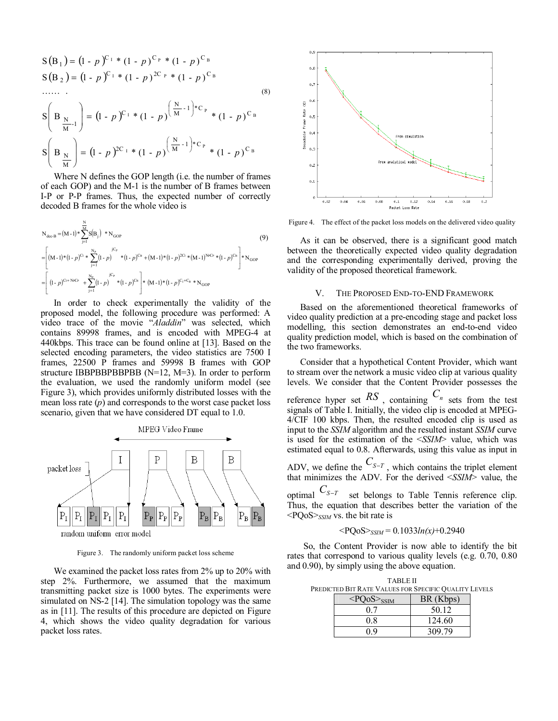$$
S(B_1) = (1 - p)^{C_1} * (1 - p)^{C_p} * (1 - p)^{C_B}
$$
  
\n
$$
S(B_2) = (1 - p)^{C_1} * (1 - p)^{2C_p} * (1 - p)^{C_B}
$$
  
\n
$$
\dots
$$
  
\n
$$
S\left(B_{\frac{N}{M}-1}\right) = (1 - p)^{C_1} * (1 - p)^{\left(\frac{N}{M}-1\right) * C_p} * (1 - p)^{C_B}
$$
  
\n
$$
S\left(B_{\frac{N}{M}}\right) = (1 - p)^{2C_1} * (1 - p)^{\left(\frac{N}{M}-1\right) * C_p} * (1 - p)^{C_B}
$$

Where N defines the GOP length (i.e. the number of frames of each GOP) and the M-1 is the number of B frames between I-P or P-P frames. Thus, the expected number of correctly decoded B frames for the whole video is

$$
N_{\text{dec-B}} = (M-1)^* \sum_{j=1}^{N} S(B_j) * N_{\text{GOP}} \tag{9}
$$
\n
$$
= \left[ (M-1)^* (1-p)^{C_1} * \sum_{j=1}^{N_p} (1-p)^{C_2} * (1-p)^{C_3} + (M-1)^* (1-p)^{2C_1} * (M-1)^{N_{\text{FC}}} * (1-p)^{C_3} \right] * N_{\text{GOP}} \tag{9}
$$
\n
$$
= \left[ (1-p)^{C_1 + N_{\text{FC}}r} + \sum_{j=1}^{N_p} (1-p)^{C_2} * (1-p)^{C_3} \right] * (M-1)^* (1-p)^{C_1 + C_3} * N_{\text{GOP}} \tag{9}
$$

In order to check experimentally the validity of the proposed model, the following procedure was performed: A video trace of the movie "*Aladdin*" was selected, which contains 89998 frames, and is encoded with MPEG-4 at 440kbps. This trace can be found online at [13]. Based on the selected encoding parameters, the video statistics are 7500 I frames, 22500 P frames and 59998 B frames with GOP structure IBBPBBPBBPBB  $(N=12, M=3)$ . In order to perform the evaluation, we used the randomly uniform model (see Figure 3), which provides uniformly distributed losses with the mean loss rate (*p*) and corresponds to the worst case packet loss scenario, given that we have considered DT equal to 1.0.



Figure 3. The randomly uniform packet loss scheme

We examined the packet loss rates from 2% up to 20% with step 2%. Furthermore, we assumed that the maximum transmitting packet size is 1000 bytes. The experiments were simulated on NS-2 [14]. The simulation topology was the same as in [11]. The results of this procedure are depicted on Figure 4, which shows the video quality degradation for various packet loss rates.



Figure 4. The effect of the packet loss models on the delivered video quality

As it can be observed, there is a significant good match between the theoretically expected video quality degradation and the corresponding experimentally derived, proving the validity of the proposed theoretical framework.

## V. THE PROPOSED END-TO-END FRAMEWORK

Based on the aforementioned theoretical frameworks of video quality prediction at a pre-encoding stage and packet loss modelling, this section demonstrates an end-to-end video quality prediction model, which is based on the combination of the two frameworks.

Consider that a hypothetical Content Provider, which want to stream over the network a music video clip at various quality levels. We consider that the Content Provider possesses the reference hyper set  $RS$ , containing  $C_n$  sets from the test signals of Table I. Initially, the video clip is encoded at MPEG-4/CIF 100 kbps. Then, the resulted encoded clip is used as input to the *SSIM* algorithm and the resulted instant *SSIM* curve is used for the estimation of the <*SSIM*> value, which was estimated equal to 0.8. Afterwards, using this value as input in ADV, we define the  $C_{S-T}$ , which contains the triplet element that minimizes the ADV. For the derived <*SSIM*> value, the optimal  $C_{S-T}$  set belongs to Table Tennis reference clip.

Thus, the equation that describes better the variation of the <PQoS>*SSIM* vs. the bit rate is

$$
\langle PQoS \rangle_{SSIM} = 0.1033ln(x) + 0.2940
$$

So, the Content Provider is now able to identify the bit rates that correspond to various quality levels (e.g. 0.70, 0.80 and 0.90), by simply using the above equation.

TABLE II PREDICTED BIT RATE VALUES FOR SPECIFIC QUALITY LEVELS

| $<$ PQoS $>$ <sub>SSIM</sub> | BR (Kbps) |
|------------------------------|-----------|
|                              | 50.12     |
| 08                           | 124.60    |
| በ ዐ                          | 309.79    |